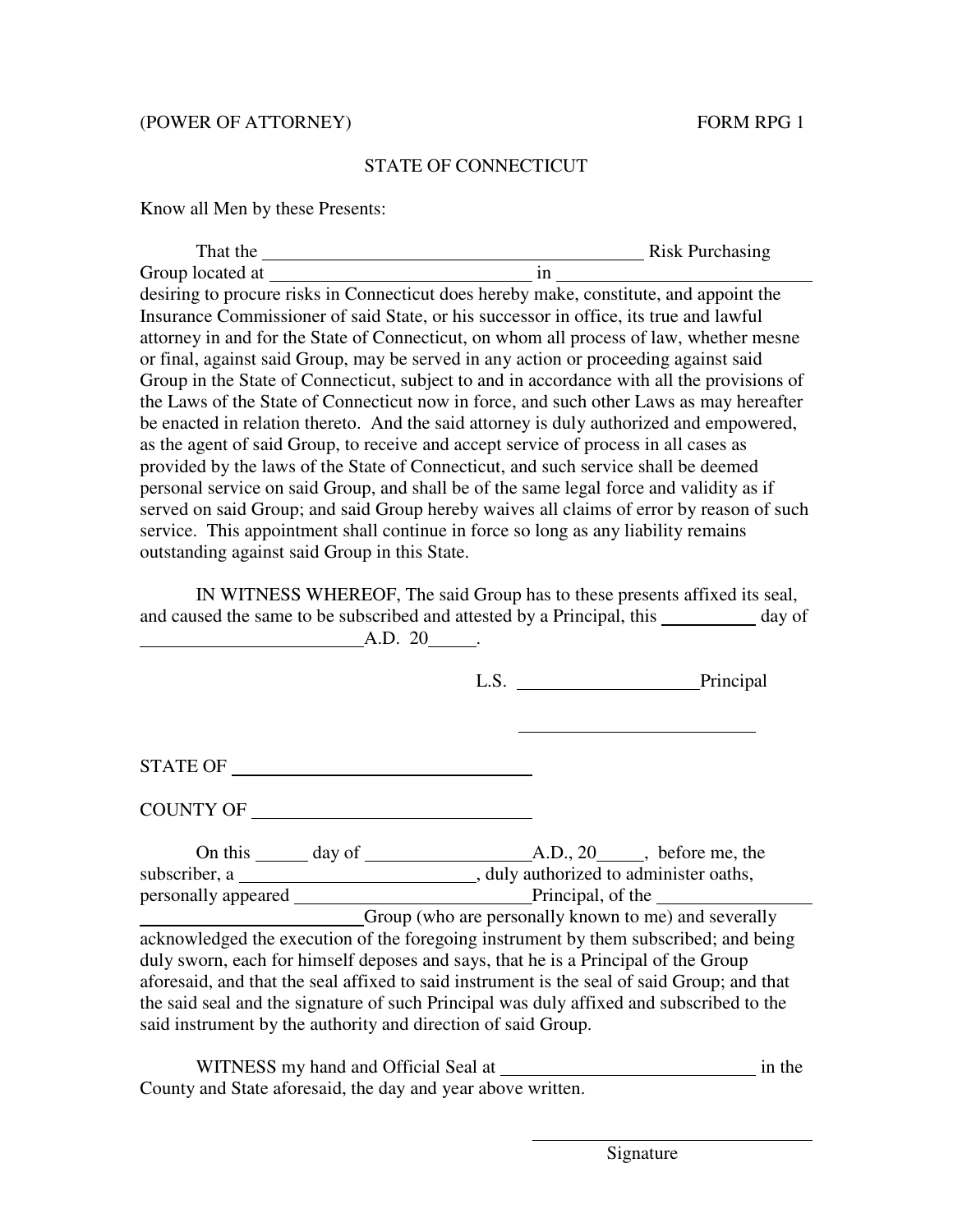## (POWER OF ATTORNEY) FORM RPG 1

## STATE OF CONNECTICUT

Know all Men by these Presents:

That the <u>Communication of the Risk Purchasing</u> Group located at in the Laws of the State of Connecticut now in force, and such other Laws as may hereafter personal service on said Group, and shall be of the same legal force and validity as if desiring to procure risks in Connecticut does hereby make, constitute, and appoint the Insurance Commissioner of said State, or his successor in office, its true and lawful attorney in and for the State of Connecticut, on whom all process of law, whether mesne or final, against said Group, may be served in any action or proceeding against said Group in the State of Connecticut, subject to and in accordance with all the provisions of be enacted in relation thereto. And the said attorney is duly authorized and empowered, as the agent of said Group, to receive and accept service of process in all cases as provided by the laws of the State of Connecticut, and such service shall be deemed served on said Group; and said Group hereby waives all claims of error by reason of such service. This appointment shall continue in force so long as any liability remains outstanding against said Group in this State.

and caused the same to be subscribed and attested by a Principal, this \_\_\_\_\_\_\_\_\_ day of  $\overline{a}$ IN WITNESS WHEREOF, The said Group has to these presents affixed its seal, A.D. 20 .

|                                                                                          |  |  |  | L.S. Principal                                                                              |  |
|------------------------------------------------------------------------------------------|--|--|--|---------------------------------------------------------------------------------------------|--|
|                                                                                          |  |  |  |                                                                                             |  |
|                                                                                          |  |  |  |                                                                                             |  |
| COUNTY OF THE COUNTY OF                                                                  |  |  |  |                                                                                             |  |
|                                                                                          |  |  |  |                                                                                             |  |
|                                                                                          |  |  |  |                                                                                             |  |
|                                                                                          |  |  |  |                                                                                             |  |
|                                                                                          |  |  |  | Group (who are personally known to me) and severally                                        |  |
|                                                                                          |  |  |  | acknowledged the execution of the foregoing instrument by them subscribed; and being        |  |
| duly sworn, each for himself deposes and says, that he is a Principal of the Group       |  |  |  |                                                                                             |  |
|                                                                                          |  |  |  | aforesaid, and that the seal affixed to said instrument is the seal of said Group; and that |  |
| the said seal and the signature of such Principal was duly affixed and subscribed to the |  |  |  |                                                                                             |  |
| said instrument by the authority and direction of said Group.                            |  |  |  |                                                                                             |  |

 WITNESS my hand and Official Seal at in the County and State aforesaid, the day and year above written.